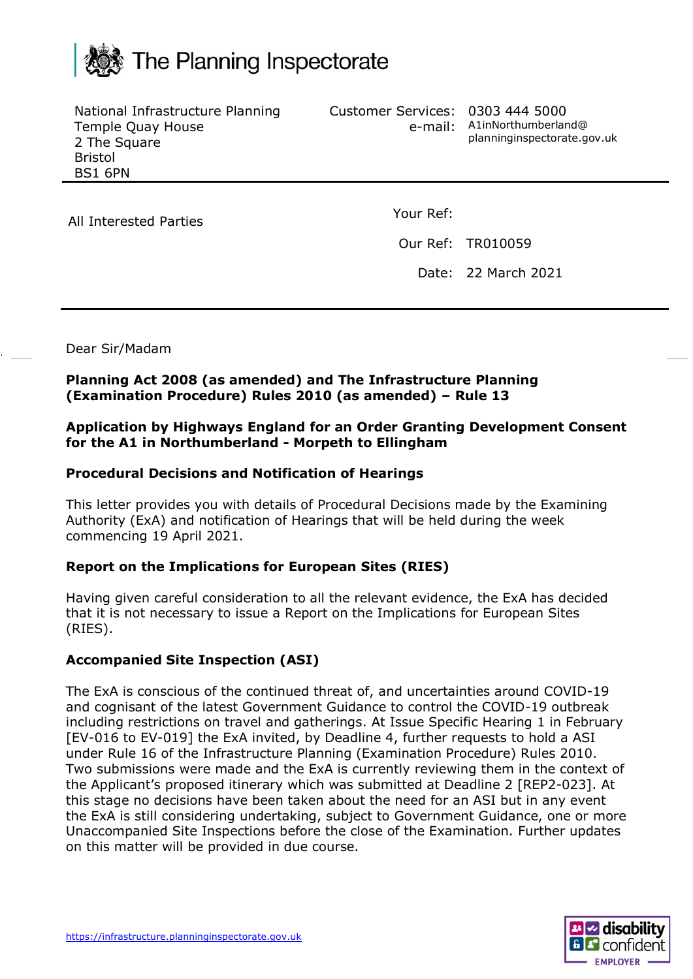

National Infrastructure Planning Temple Quay House 2 The Square Bristol BS1 6PN

Customer Services: 0303 444 5000

e-mail: A1inNorthumberland@ planninginspectorate.gov.uk

All Interested Parties Manual Cour Ref:

Our Ref: TR010059

Date: 22 March 2021

Dear Sir/Madam

## **Planning Act 2008 (as amended) and The Infrastructure Planning (Examination Procedure) Rules 2010 (as amended) – Rule 13**

### **Application by Highways England for an Order Granting Development Consent for the A1 in Northumberland - Morpeth to Ellingham**

## **Procedural Decisions and Notification of Hearings**

This letter provides you with details of Procedural Decisions made by the Examining Authority (ExA) and notification of Hearings that will be held during the week commencing 19 April 2021.

### **Report on the Implications for European Sites (RIES)**

Having given careful consideration to all the relevant evidence, the ExA has decided that it is not necessary to issue a Report on the Implications for European Sites (RIES).

### **Accompanied Site Inspection (ASI)**

The ExA is conscious of the continued threat of, and uncertainties around COVID-19 and cognisant of the latest Government Guidance to control the COVID-19 outbreak including restrictions on travel and gatherings. At Issue Specific Hearing 1 in February [EV-016 to EV-019] the ExA invited, by Deadline 4, further requests to hold a ASI under Rule 16 of the Infrastructure Planning (Examination Procedure) Rules 2010. Two submissions were made and the ExA is currently reviewing them in the context of the Applicant's proposed itinerary which was submitted at Deadline 2 [REP2-023]. At this stage no decisions have been taken about the need for an ASI but in any event the ExA is still considering undertaking, subject to Government Guidance, one or more Unaccompanied Site Inspections before the close of the Examination. Further updates on this matter will be provided in due course.

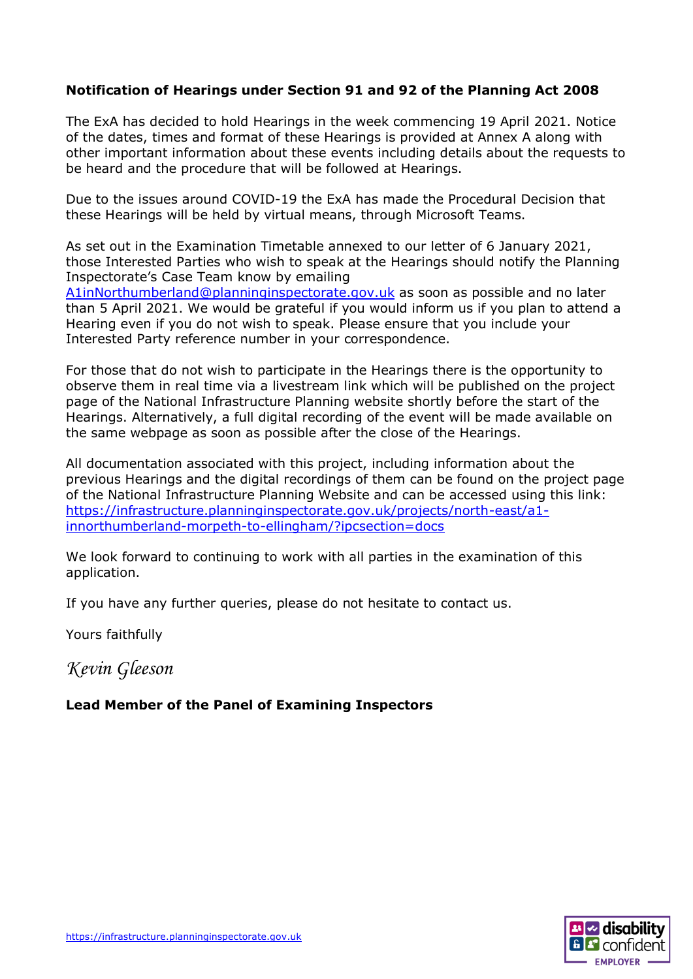# **Notification of Hearings under Section 91 and 92 of the Planning Act 2008**

The ExA has decided to hold Hearings in the week commencing 19 April 2021. Notice of the dates, times and format of these Hearings is provided at Annex A along with other important information about these events including details about the requests to be heard and the procedure that will be followed at Hearings.

Due to the issues around COVID-19 the ExA has made the Procedural Decision that these Hearings will be held by virtual means, through Microsoft Teams.

As set out in the Examination Timetable annexed to our letter of 6 January 2021, those Interested Parties who wish to speak at the Hearings should notify the Planning Inspectorate's Case Team know by emailing

[A1inNorthumberland@planninginspectorate.gov.uk](mailto:A1inNorthumberland@planninginspectorate.gov.uk) as soon as possible and no later than 5 April 2021. We would be grateful if you would inform us if you plan to attend a Hearing even if you do not wish to speak. Please ensure that you include your Interested Party reference number in your correspondence.

For those that do not wish to participate in the Hearings there is the opportunity to observe them in real time via a livestream link which will be published on the project page of the National Infrastructure Planning website shortly before the start of the Hearings. Alternatively, a full digital recording of the event will be made available on the same webpage as soon as possible after the close of the Hearings.

All documentation associated with this project, including information about the previous Hearings and the digital recordings of them can be found on the project page of the National Infrastructure Planning Website and can be accessed using this link: [https://infrastructure.planninginspectorate.gov.uk/projects/north-east/a1](https://infrastructure.planninginspectorate.gov.uk/projects/north-east/a1-innorthumberland-morpeth-to-ellingham/?ipcsection=docs) [innorthumberland-morpeth-to-ellingham/?ipcsection=docs](https://infrastructure.planninginspectorate.gov.uk/projects/north-east/a1-innorthumberland-morpeth-to-ellingham/?ipcsection=docs)

We look forward to continuing to work with all parties in the examination of this application.

If you have any further queries, please do not hesitate to contact us.

Yours faithfully

*Kevin Gleeson*

## **Lead Member of the Panel of Examining Inspectors**

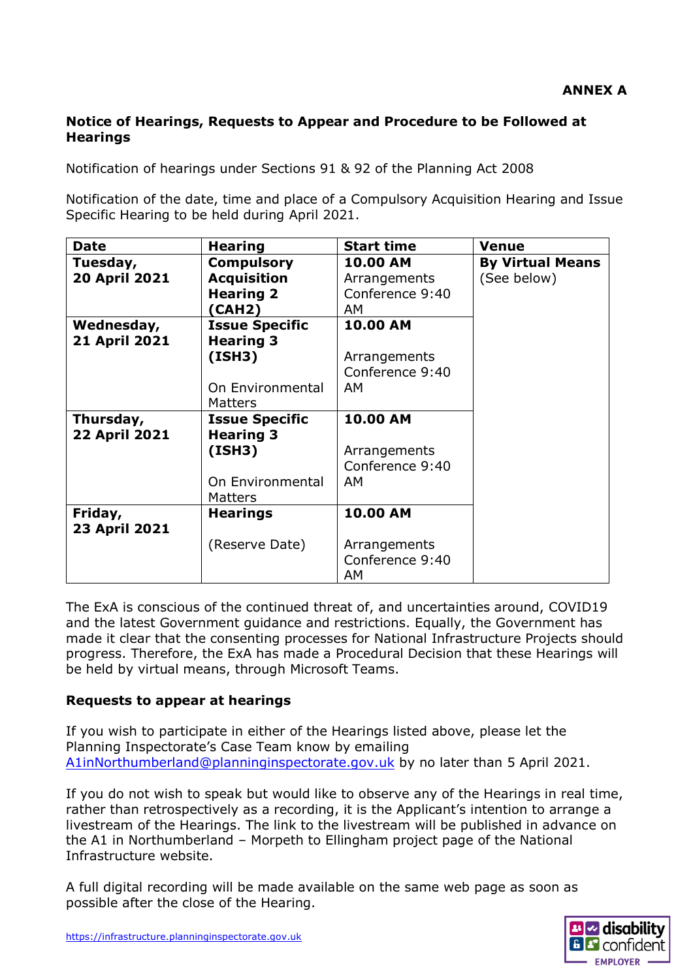## **Notice of Hearings, Requests to Appear and Procedure to be Followed at Hearings**

Notification of hearings under Sections 91 & 92 of the Planning Act 2008

Notification of the date, time and place of a Compulsory Acquisition Hearing and Issue Specific Hearing to be held during April 2021.

| <b>Date</b>          | <b>Hearing</b>        | <b>Start time</b> | <b>Venue</b>            |
|----------------------|-----------------------|-------------------|-------------------------|
| Tuesday,             | <b>Compulsory</b>     | <b>10.00 AM</b>   | <b>By Virtual Means</b> |
| <b>20 April 2021</b> | <b>Acquisition</b>    | Arrangements      | (See below)             |
|                      | <b>Hearing 2</b>      | Conference 9:40   |                         |
|                      | (CAH2)                | AM.               |                         |
| Wednesday,           | <b>Issue Specific</b> | 10.00 AM          |                         |
| <b>21 April 2021</b> | <b>Hearing 3</b>      |                   |                         |
|                      | (ISH3)                | Arrangements      |                         |
|                      |                       | Conference 9:40   |                         |
|                      | On Environmental      | AM.               |                         |
|                      | <b>Matters</b>        |                   |                         |
| Thursday,            | <b>Issue Specific</b> | 10.00 AM          |                         |
| <b>22 April 2021</b> | <b>Hearing 3</b>      |                   |                         |
|                      | (ISH3)                | Arrangements      |                         |
|                      |                       | Conference 9:40   |                         |
|                      | On Environmental      | AM.               |                         |
|                      | Matters               |                   |                         |
| Friday,              | <b>Hearings</b>       | 10.00 AM          |                         |
| <b>23 April 2021</b> |                       |                   |                         |
|                      | (Reserve Date)        | Arrangements      |                         |
|                      |                       | Conference 9:40   |                         |
|                      |                       | AΜ                |                         |

The ExA is conscious of the continued threat of, and uncertainties around, COVID19 and the latest Government guidance and restrictions. Equally, the Government has made it clear that the consenting processes for National Infrastructure Projects should progress. Therefore, the ExA has made a Procedural Decision that these Hearings will be held by virtual means, through Microsoft Teams.

### **Requests to appear at hearings**

If you wish to participate in either of the Hearings listed above, please let the Planning Inspectorate's Case Team know by emailing [A1inNorthumberland@planninginspectorate.gov.uk](mailto:A1inNorthumberland@planninginspectorate.gov.uk) by no later than 5 April 2021.

If you do not wish to speak but would like to observe any of the Hearings in real time, rather than retrospectively as a recording, it is the Applicant's intention to arrange a livestream of the Hearings. The link to the livestream will be published in advance on the A1 in Northumberland – Morpeth to Ellingham project page of the National Infrastructure website.

A full digital recording will be made available on the same web page as soon as possible after the close of the Hearing.